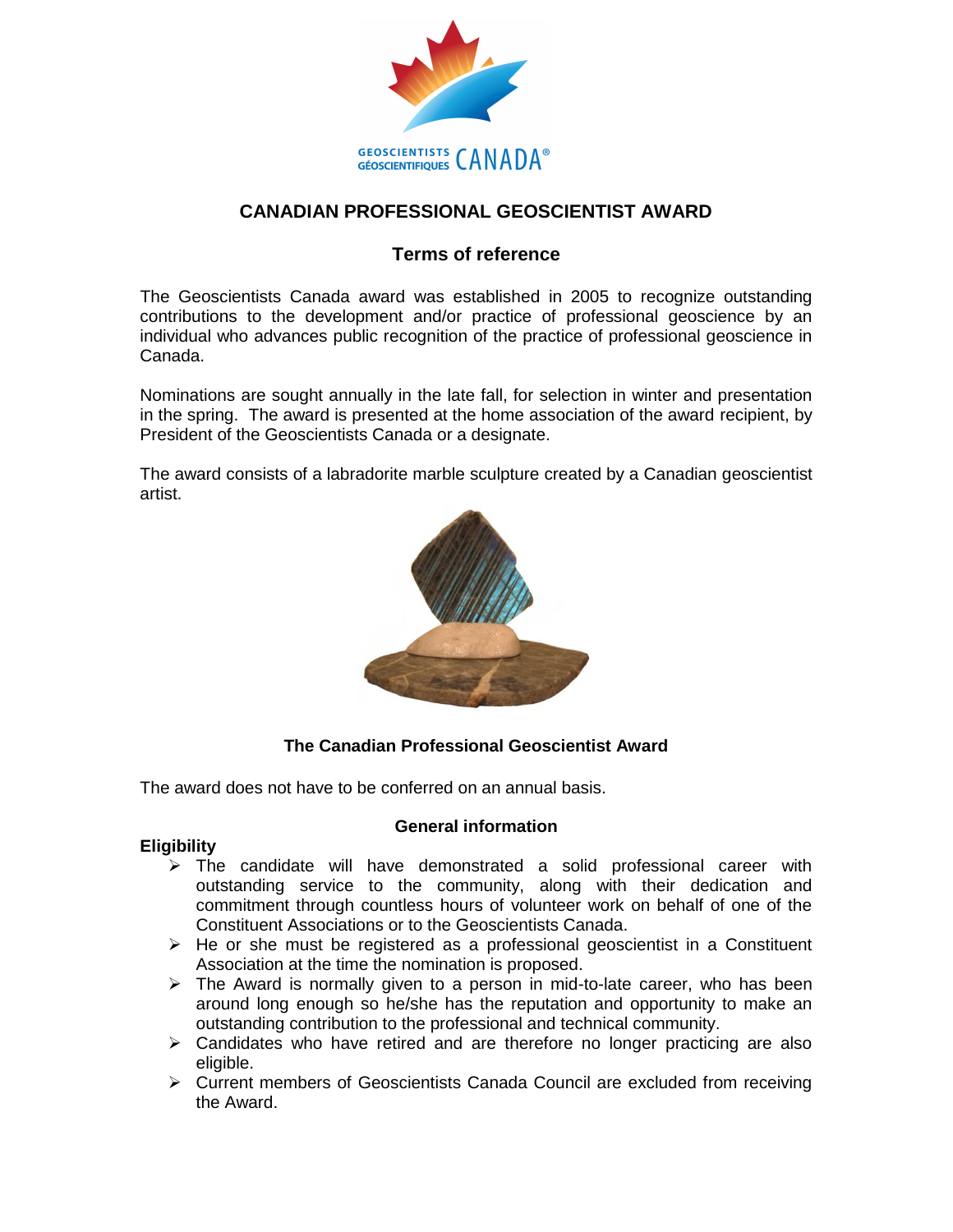

# **CANADIAN PROFESSIONAL GEOSCIENTIST AWARD**

## **Terms of reference**

The Geoscientists Canada award was established in 2005 to recognize outstanding contributions to the development and/or practice of professional geoscience by an individual who advances public recognition of the practice of professional geoscience in Canada.

Nominations are sought annually in the late fall, for selection in winter and presentation in the spring. The award is presented at the home association of the award recipient, by President of the Geoscientists Canada or a designate.

The award consists of a labradorite marble sculpture created by a Canadian geoscientist artist.



### **The Canadian Professional Geoscientist Award**

The award does not have to be conferred on an annual basis.

### **Eligibility**

### **General information**

- $\triangleright$  The candidate will have demonstrated a solid professional career with outstanding service to the community, along with their dedication and commitment through countless hours of volunteer work on behalf of one of the Constituent Associations or to the Geoscientists Canada.
- $\triangleright$  He or she must be registered as a professional geoscientist in a Constituent Association at the time the nomination is proposed.
- $\triangleright$  The Award is normally given to a person in mid-to-late career, who has been around long enough so he/she has the reputation and opportunity to make an outstanding contribution to the professional and technical community.
- $\triangleright$  Candidates who have retired and are therefore no longer practicing are also eligible.
- $\triangleright$  Current members of Geoscientists Canada Council are excluded from receiving the Award.